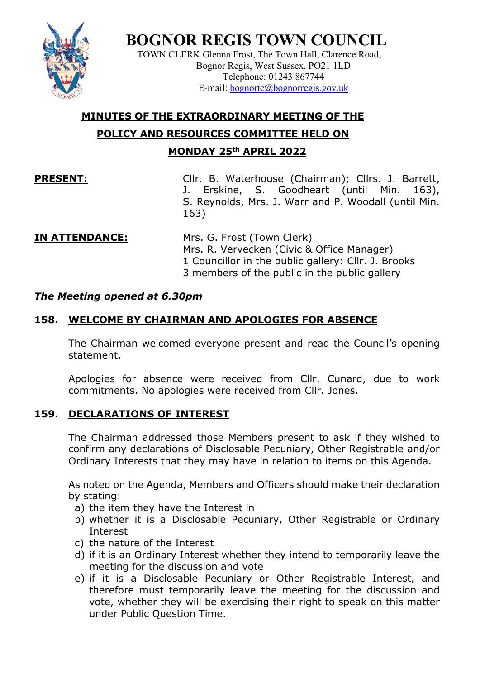**BOGNOR REGIS TOWN COUNCIL**



TOWN CLERK Glenna Frost, The Town Hall, Clarence Road, Bognor Regis, West Sussex, PO21 1LD Telephone: 01243 867744 E-mail: [bognortc@bognorregis.gov.uk](mailto:bognortc@bognorregis.gov.uk)

# **MINUTES OF THE EXTRAORDINARY MEETING OF THE POLICY AND RESOURCES COMMITTEE HELD ON**

## **MONDAY 25th APRIL 2022**

**PRESENT:** Cllr. B. Waterhouse (Chairman); Cllrs. J. Barrett, J. Erskine, S. Goodheart (until Min. 163), S. Reynolds, Mrs. J. Warr and P. Woodall (until Min. 163)

**IN ATTENDANCE:** Mrs. G. Frost (Town Clerk) Mrs. R. Vervecken (Civic & Office Manager) 1 Councillor in the public gallery: Cllr. J. Brooks 3 members of the public in the public gallery

#### *The Meeting opened at 6.30pm*

### **158. WELCOME BY CHAIRMAN AND APOLOGIES FOR ABSENCE**

The Chairman welcomed everyone present and read the Council's opening statement.

Apologies for absence were received from Cllr. Cunard, due to work commitments. No apologies were received from Cllr. Jones.

### **159. DECLARATIONS OF INTEREST**

The Chairman addressed those Members present to ask if they wished to confirm any declarations of Disclosable Pecuniary, Other Registrable and/or Ordinary Interests that they may have in relation to items on this Agenda.

As noted on the Agenda, Members and Officers should make their declaration by stating:

- a) the item they have the Interest in
- b) whether it is a Disclosable Pecuniary, Other Registrable or Ordinary Interest
- c) the nature of the Interest
- d) if it is an Ordinary Interest whether they intend to temporarily leave the meeting for the discussion and vote
- e) if it is a Disclosable Pecuniary or Other Registrable Interest, and therefore must temporarily leave the meeting for the discussion and vote, whether they will be exercising their right to speak on this matter under Public Question Time.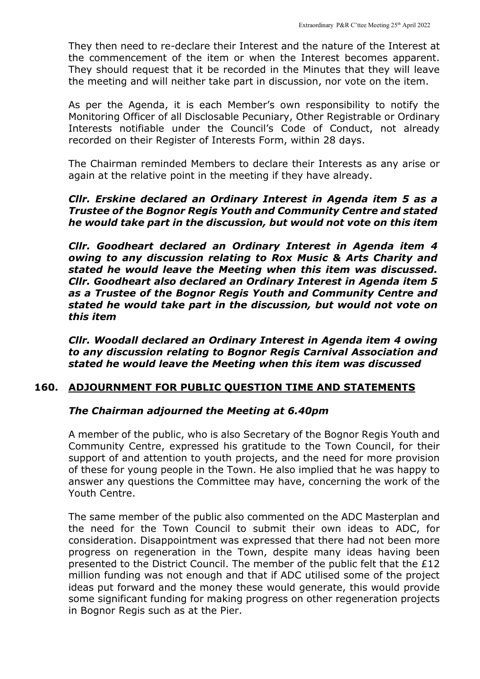They then need to re-declare their Interest and the nature of the Interest at the commencement of the item or when the Interest becomes apparent. They should request that it be recorded in the Minutes that they will leave the meeting and will neither take part in discussion, nor vote on the item.

As per the Agenda, it is each Member's own responsibility to notify the Monitoring Officer of all Disclosable Pecuniary, Other Registrable or Ordinary Interests notifiable under the Council's Code of Conduct, not already recorded on their Register of Interests Form, within 28 days.

The Chairman reminded Members to declare their Interests as any arise or again at the relative point in the meeting if they have already.

#### *Cllr. Erskine declared an Ordinary Interest in Agenda item 5 as a Trustee of the Bognor Regis Youth and Community Centre and stated he would take part in the discussion, but would not vote on this item*

*Cllr. Goodheart declared an Ordinary Interest in Agenda item 4 owing to any discussion relating to Rox Music & Arts Charity and stated he would leave the Meeting when this item was discussed. Cllr. Goodheart also declared an Ordinary Interest in Agenda item 5 as a Trustee of the Bognor Regis Youth and Community Centre and stated he would take part in the discussion, but would not vote on this item*

*Cllr. Woodall declared an Ordinary Interest in Agenda item 4 owing to any discussion relating to Bognor Regis Carnival Association and stated he would leave the Meeting when this item was discussed*

#### **160. ADJOURNMENT FOR PUBLIC QUESTION TIME AND STATEMENTS**

#### *The Chairman adjourned the Meeting at 6.40pm*

A member of the public, who is also Secretary of the Bognor Regis Youth and Community Centre, expressed his gratitude to the Town Council, for their support of and attention to youth projects, and the need for more provision of these for young people in the Town. He also implied that he was happy to answer any questions the Committee may have, concerning the work of the Youth Centre.

The same member of the public also commented on the ADC Masterplan and the need for the Town Council to submit their own ideas to ADC, for consideration. Disappointment was expressed that there had not been more progress on regeneration in the Town, despite many ideas having been presented to the District Council. The member of the public felt that the £12 million funding was not enough and that if ADC utilised some of the project ideas put forward and the money these would generate, this would provide some significant funding for making progress on other regeneration projects in Bognor Regis such as at the Pier.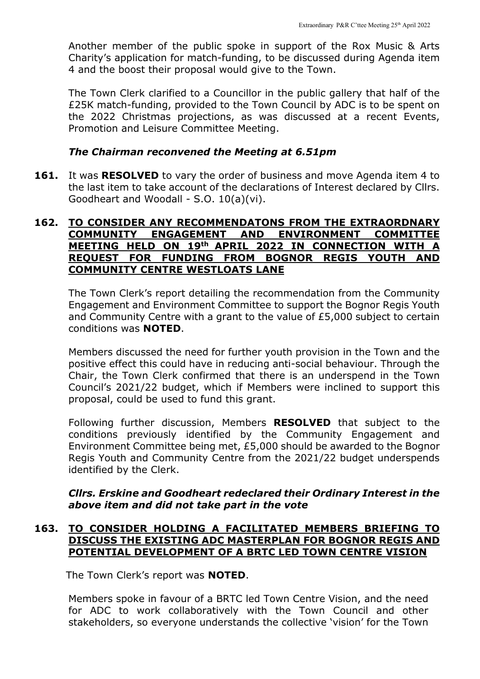Another member of the public spoke in support of the Rox Music & Arts Charity's application for match-funding, to be discussed during Agenda item 4 and the boost their proposal would give to the Town.

The Town Clerk clarified to a Councillor in the public gallery that half of the £25K match-funding, provided to the Town Council by ADC is to be spent on the 2022 Christmas projections, as was discussed at a recent Events, Promotion and Leisure Committee Meeting.

#### *The Chairman reconvened the Meeting at 6.51pm*

**161.** It was **RESOLVED** to vary the order of business and move Agenda item 4 to the last item to take account of the declarations of Interest declared by Cllrs. Goodheart and Woodall - S.O. 10(a)(vi).

#### **162. TO CONSIDER ANY RECOMMENDATONS FROM THE EXTRAORDNARY COMMUNITY ENGAGEMENT AND ENVIRONMENT COMMITTEE MEETING HELD ON 19th APRIL 2022 IN CONNECTION WITH A REQUEST FOR FUNDING FROM BOGNOR REGIS YOUTH AND COMMUNITY CENTRE WESTLOATS LANE**

The Town Clerk's report detailing the recommendation from the Community Engagement and Environment Committee to support the Bognor Regis Youth and Community Centre with a grant to the value of £5,000 subject to certain conditions was **NOTED**.

Members discussed the need for further youth provision in the Town and the positive effect this could have in reducing anti-social behaviour. Through the Chair, the Town Clerk confirmed that there is an underspend in the Town Council's 2021/22 budget, which if Members were inclined to support this proposal, could be used to fund this grant.

Following further discussion, Members **RESOLVED** that subject to the conditions previously identified by the Community Engagement and Environment Committee being met, £5,000 should be awarded to the Bognor Regis Youth and Community Centre from the 2021/22 budget underspends identified by the Clerk.

#### *Cllrs. Erskine and Goodheart redeclared their Ordinary Interest in the above item and did not take part in the vote*

#### **163. TO CONSIDER HOLDING A FACILITATED MEMBERS BRIEFING TO DISCUSS THE EXISTING ADC MASTERPLAN FOR BOGNOR REGIS AND POTENTIAL DEVELOPMENT OF A BRTC LED TOWN CENTRE VISION**

The Town Clerk's report was **NOTED**.

Members spoke in favour of a BRTC led Town Centre Vision, and the need for ADC to work collaboratively with the Town Council and other stakeholders, so everyone understands the collective 'vision' for the Town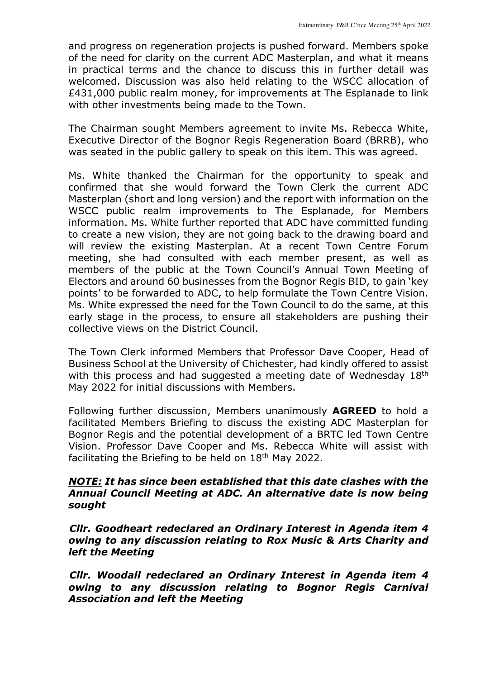and progress on regeneration projects is pushed forward. Members spoke of the need for clarity on the current ADC Masterplan, and what it means in practical terms and the chance to discuss this in further detail was welcomed. Discussion was also held relating to the WSCC allocation of £431,000 public realm money, for improvements at The Esplanade to link with other investments being made to the Town.

The Chairman sought Members agreement to invite Ms. Rebecca White, Executive Director of the Bognor Regis Regeneration Board (BRRB), who was seated in the public gallery to speak on this item. This was agreed.

Ms. White thanked the Chairman for the opportunity to speak and confirmed that she would forward the Town Clerk the current ADC Masterplan (short and long version) and the report with information on the WSCC public realm improvements to The Esplanade, for Members information. Ms. White further reported that ADC have committed funding to create a new vision, they are not going back to the drawing board and will review the existing Masterplan. At a recent Town Centre Forum meeting, she had consulted with each member present, as well as members of the public at the Town Council's Annual Town Meeting of Electors and around 60 businesses from the Bognor Regis BID, to gain 'key points' to be forwarded to ADC, to help formulate the Town Centre Vision. Ms. White expressed the need for the Town Council to do the same, at this early stage in the process, to ensure all stakeholders are pushing their collective views on the District Council.

The Town Clerk informed Members that Professor Dave Cooper, Head of Business School at the University of Chichester, had kindly offered to assist with this process and had suggested a meeting date of Wednesday 18<sup>th</sup> May 2022 for initial discussions with Members.

Following further discussion, Members unanimously **AGREED** to hold a facilitated Members Briefing to discuss the existing ADC Masterplan for Bognor Regis and the potential development of a BRTC led Town Centre Vision. Professor Dave Cooper and Ms. Rebecca White will assist with facilitating the Briefing to be held on 18th May 2022.

#### *NOTE: It has since been established that this date clashes with the Annual Council Meeting at ADC. An alternative date is now being sought*

*Cllr. Goodheart redeclared an Ordinary Interest in Agenda item 4 owing to any discussion relating to Rox Music & Arts Charity and left the Meeting*

*Cllr. Woodall redeclared an Ordinary Interest in Agenda item 4 owing to any discussion relating to Bognor Regis Carnival Association and left the Meeting*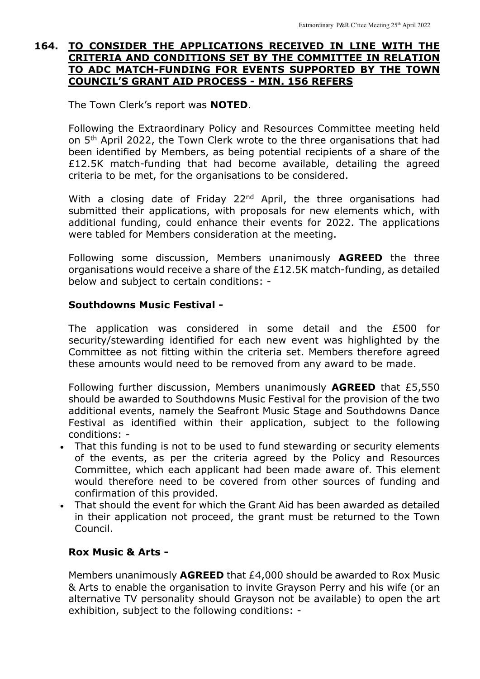#### **164. TO CONSIDER THE APPLICATIONS RECEIVED IN LINE WITH THE CRITERIA AND CONDITIONS SET BY THE COMMITTEE IN RELATION TO ADC MATCH-FUNDING FOR EVENTS SUPPORTED BY THE TOWN COUNCIL'S GRANT AID PROCESS - MIN. 156 REFERS**

The Town Clerk's report was **NOTED**.

 Following the Extraordinary Policy and Resources Committee meeting held on 5<sup>th</sup> April 2022, the Town Clerk wrote to the three organisations that had been identified by Members, as being potential recipients of a share of the £12.5K match-funding that had become available, detailing the agreed criteria to be met, for the organisations to be considered.

With a closing date of Friday 22<sup>nd</sup> April, the three organisations had submitted their applications, with proposals for new elements which, with additional funding, could enhance their events for 2022. The applications were tabled for Members consideration at the meeting.

Following some discussion, Members unanimously **AGREED** the three organisations would receive a share of the £12.5K match-funding, as detailed below and subject to certain conditions: -

#### **Southdowns Music Festival -**

The application was considered in some detail and the £500 for security/stewarding identified for each new event was highlighted by the Committee as not fitting within the criteria set. Members therefore agreed these amounts would need to be removed from any award to be made.

Following further discussion, Members unanimously **AGREED** that £5,550 should be awarded to Southdowns Music Festival for the provision of the two additional events, namely the Seafront Music Stage and Southdowns Dance Festival as identified within their application, subject to the following conditions: -

- That this funding is not to be used to fund stewarding or security elements of the events, as per the criteria agreed by the Policy and Resources Committee, which each applicant had been made aware of. This element would therefore need to be covered from other sources of funding and confirmation of this provided.
- That should the event for which the Grant Aid has been awarded as detailed in their application not proceed, the grant must be returned to the Town Council.

#### **Rox Music & Arts -**

Members unanimously **AGREED** that £4,000 should be awarded to Rox Music & Arts to enable the organisation to invite Grayson Perry and his wife (or an alternative TV personality should Grayson not be available) to open the art exhibition, subject to the following conditions: -